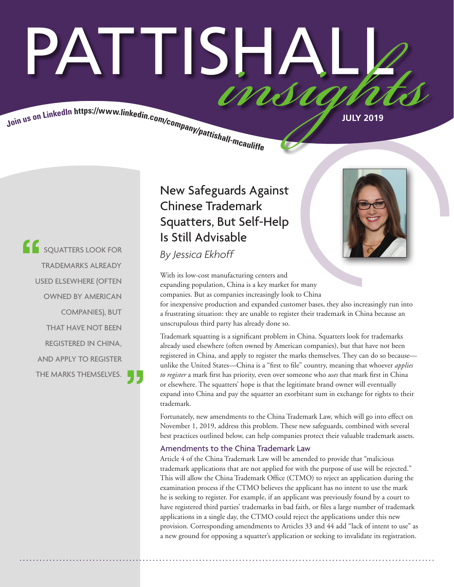# PATTISHA insu

Join us on LinkedIn https://www.linkedin.com/company/pattishall-mcauliss.

**COUNTTERS LOOK FOR** By Jessica Ekhoff TRADEMARKS ALREADY USED ELSEWHERE (OFTEN OWNED BY AMERICAN COMPANIES), BUT THAT HAVE NOT BEEN REGISTERED IN CHINA, AND APPLY TO REGISTER THE MARKS THEMSELVES.

# New Safeguards Against Chinese Trademark Squatters, But Self-Help Is Still Advisable

With its low-cost manufacturing centers and expanding population, China is a key market for many companies. But as companies increasingly look to China

for inexpensive production and expanded customer bases, they also increasingly run into a frustrating situation: they are unable to register their trademark in China because an unscrupulous third party has already done so.

Trademark squatting is a significant problem in China. Squatters look for trademarks already used elsewhere (often owned by American companies), but that have not been registered in China, and apply to register the marks themselves. They can do so because unlike the United States—China is a "first to file" country, meaning that whoever *applies to register* a mark first has priority, even over someone who *uses* that mark first in China or elsewhere. The squatters' hope is that the legitimate brand owner will eventually expand into China and pay the squatter an exorbitant sum in exchange for rights to their trademark.

Fortunately, new amendments to the China Trademark Law, which will go into effect on November 1, 2019, address this problem. These new safeguards, combined with several best practices outlined below, can help companies protect their valuable trademark assets.

# Amendments to the China Trademark Law

Article 4 of the China Trademark Law will be amended to provide that "malicious trademark applications that are not applied for with the purpose of use will be rejected." This will allow the China Trademark Office (CTMO) to reject an application during the examination process if the CTMO believes the applicant has no intent to use the mark he is seeking to register. For example, if an applicant was previously found by a court to have registered third parties' trademarks in bad faith, or files a large number of trademark applications in a single day, the CTMO could reject the applications under this new provision. Corresponding amendments to Articles 33 and 44 add "lack of intent to use" as a new ground for opposing a squatter's application or seeking to invalidate its registration.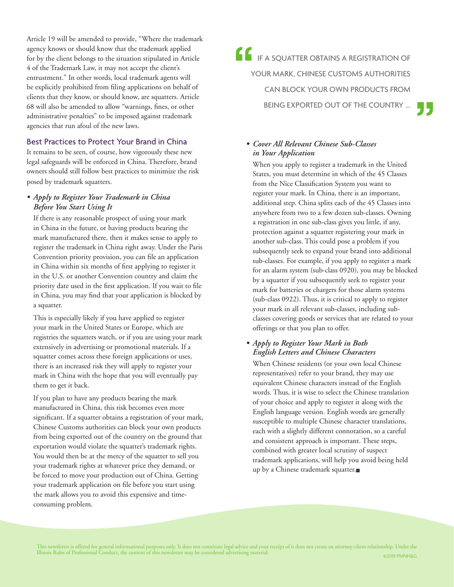Article 19 will be amended to provide, "Where the trademark agency knows or should know that the trademark applied for by the client belongs to the situation stipulated in Article 4 of the Trademark Law, it may not accept the client's entrustment." In other words, local trademark agents will be explicitly prohibited from filing applications on behalf of clients that they know, or should know, are squatters. Article 68 will also be amended to allow "warnings, fines, or other administrative penalties" to be imposed against trademark agencies that run afoul of the new laws.

# Best Practices to Protect Your Brand in China

It remains to be seen, of course, how vigorously these new legal safeguards will be enforced in China. Therefore, brand owners should still follow best practices to minimize the risk posed by trademark squatters.

# *• Apply to Register Your Trademark in China Before You Start Using It*

If there is any reasonable prospect of using your mark in China in the future, or having products bearing the mark manufactured there, then it makes sense to apply to register the trademark in China right away. Under the Paris Convention priority provision, you can file an application in China within six months of first applying to register it in the U.S. or another Convention country and claim the priority date used in the first application. If you wait to file in China, you may find that your application is blocked by a squatter.

This is especially likely if you have applied to register your mark in the United States or Europe, which are registries the squatters watch, or if you are using your mark extensively in advertising or promotional materials. If a squatter comes across these foreign applications or uses, there is an increased risk they will apply to register your mark in China with the hope that you will eventually pay them to get it back.

If you plan to have any products bearing the mark manufactured in China, this risk becomes even more significant. If a squatter obtains a registration of your mark, Chinese Customs authorities can block your own products from being exported out of the country on the ground that exportation would violate the squatter's trademark rights. You would then be at the mercy of the squatter to sell you your trademark rights at whatever price they demand, or be forced to move your production out of China. Getting your trademark application on file before you start using the mark allows you to avoid this expensive and timeconsuming problem.

**IF A SQUATTER OBTAINS A REGISTRATION OF** YOUR MARK, CHINESE CUSTOMS AUTHORITIES CAN BLOCK YOUR OWN PRODUCTS FROM BEING EXPORTED OUT OF THE COUNTRY ...

# *• Cover All Relevant Chinese Sub-Classes in Your Application*

When you apply to register a trademark in the United States, you must determine in which of the 45 Classes from the Nice Classification System you want to register your mark. In China, there is an important, additional step. China splits each of the 45 Classes into anywhere from two to a few dozen sub-classes. Owning a registration in one sub-class gives you little, if any, protection against a squatter registering your mark in another sub-class. This could pose a problem if you subsequently seek to expand your brand into additional sub-classes. For example, if you apply to register a mark for an alarm system (sub-class 0920), you may be blocked by a squatter if you subsequently seek to register your mark for batteries or chargers for those alarm systems (sub-class 0922). Thus, it is critical to apply to register your mark in all relevant sub-classes, including subclasses covering goods or services that are related to your offerings or that you plan to offer.

# *• Apply to Register Your Mark in Both English Letters and Chinese Characters*

When Chinese residents (or your own local Chinese representatives) refer to your brand, they may use equivalent Chinese characters instead of the English words. Thus, it is wise to select the Chinese translation of your choice and apply to register it along with the English language version. English words are generally susceptible to multiple Chinese character translations, each with a slightly different connotation, so a careful and consistent approach is important. These steps, combined with greater local scrutiny of suspect trademark applications, will help you avoid being held up by a Chinese trademark squatter.■

This newsletter is offered for general informational purposes only. It does not constitute legal advice and your receipt of it does not create an attorney-client relationship. Under the Illinois Rules of Professional Conduct, the content of this newsletter may be considered advertising material. ©2019 PMNH&G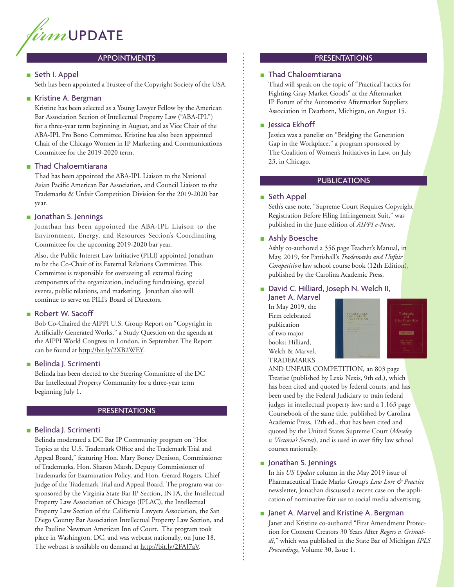

#### **APPOINTMENTS**

### ■ Seth I. Appel

Seth has been appointed a Trustee of the Copyright Society of the USA.

# ■ Kristine A. Bergman

Kristine has been selected as a Young Lawyer Fellow by the American Bar Association Section of Intellectual Property Law ("ABA-IPL") for a three-year term beginning in August, and as Vice Chair of the ABA-IPL Pro Bono Committee. Kristine has also been appointed Chair of the Chicago Women in IP Marketing and Communications Committee for the 2019-2020 term.

## ■ Thad Chaloemtiarana

Thad has been appointed the ABA-IPL Liaison to the National Asian Pacific American Bar Association, and Council Liaison to the Trademarks & Unfair Competition Division for the 2019-2020 bar year.

#### ■ Jonathan S. Jennings

Jonathan has been appointed the ABA-IPL Liaison to the Environment, Energy, and Resources Section's Coordinating Committee for the upcoming 2019-2020 bar year.

Also, the Public Interest Law Initiative (PILI) appointed Jonathan to be the Co-Chair of its External Relations Committee. This Committee is responsible for overseeing all external facing components of the organization, including fundraising, special events, public relations, and marketing. Jonathan also will continue to serve on PILI's Board of Directors.

# ■ Robert W. Sacoff

Bob Co-Chaired the AIPPI U.S. Group Report on "Copyright in Artificially Generated Works," a Study Question on the agenda at the AIPPI World Congress in London, in September. The Report can be found at http://bit.ly/2XB2WEY.

#### ■ Belinda J. Scrimenti

Belinda has been elected to the Steering Committee of the DC Bar Intellectual Property Community for a three-year term beginning July 1.

#### PRESENTATIONS

### ■ Belinda J. Scrimenti

Belinda moderated a DC Bar IP Community program on "Hot Topics at the U.S. Trademark Office and the Trademark Trial and Appeal Board," featuring Hon. Mary Boney Denison, Commissioner of Trademarks, Hon. Sharon Marsh, Deputy Commissioner of Trademarks for Examination Policy, and Hon. Gerard Rogers, Chief Judge of the Trademark Trial and Appeal Board. The program was cosponsored by the Virginia State Bar IP Section, INTA, the Intellectual Property Law Association of Chicago (IPLAC), the Intellectual Property Law Section of the California Lawyers Association, the San Diego County Bar Association Intellectual Property Law Section, and the Pauline Newman American Inn of Court. The program took place in Washington, DC, and was webcast nationally, on June 18. The webcast is available on demand at http://bit.ly/2FAJ7aV.

#### **PRESENTATIONS**

#### ■ Thad Chaloemtiarana

Thad will speak on the topic of "Practical Tactics for Fighting Gray Market Goods" at the Aftermarket IP Forum of the Automotive Aftermarket Suppliers Association in Dearborn, Michigan, on August 15.

#### ■ Jessica Ekhoff

Jessica was a panelist on "Bridging the Generation Gap in the Workplace," a program sponsored by The Coalition of Women's Initiatives in Law, on July 23, in Chicago.

#### **PUBLICATIONS**

### ■ Seth Appel

Seth's case note, "Supreme Court Requires Copyright Registration Before Filing Infringement Suit," was published in the June edition of *AIPPI e-News*.

#### ■ Ashly Boesche

Ashly co-authored a 356 page Teacher's Manual, in May, 2019, for Pattishall's *Trademarks and Unfair Competition* law school course book (12th Edition), published by the Carolina Academic Press.

#### ■ David C. Hilliard, Joseph N. Welch II, Janet A. Marvel

In May 2019, the Firm celebrated publication of two major books: Hilliard, Welch & Marvel, TRADEMARKS



AND UNFAIR COMPETITION, an 803 page Treatise (published by Lexis Nexis, 9th ed.), which has been cited and quoted by federal courts, and has been used by the Federal Judiciary to train federal judges in intellectual property law; and a 1,163 page Coursebook of the same title, published by Carolina Academic Press, 12th ed., that has been cited and quoted by the United States Supreme Court (*Moseley v. Victoria's Secret*), and is used in over fifty law school courses nationally.

#### ■ Jonathan S. Jennings

In his *US Update* column in the May 2019 issue of Pharmaceutical Trade Marks Group's *Law Lore & Practice* newsletter, Jonathan discussed a recent case on the application of nominative fair use to social media advertising.

# ■ Janet A. Marvel and Kristine A. Bergman

Janet and Kristine co-authored "First Amendment Protection for Content Creators 30 Years After *Rogers v. Grimaldi*," which was published in the State Bar of Michigan *IPLS Proceedings*, Volume 30, Issue 1.